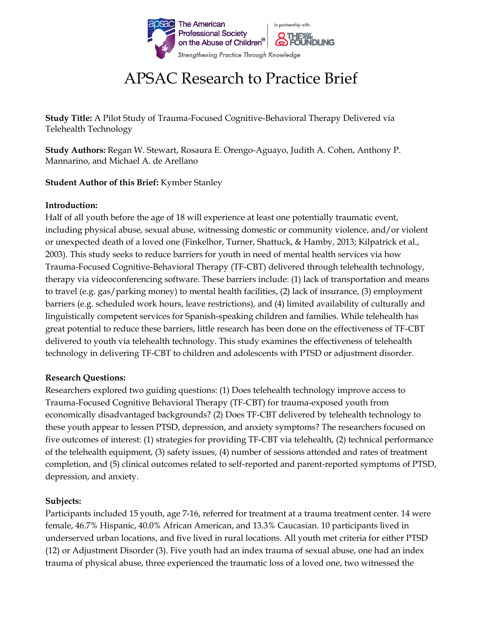

# APSAC Research to Practice Brief

**Study Title:** A Pilot Study of Trauma-Focused Cognitive-Behavioral Therapy Delivered via Telehealth Technology

**Study Authors:** Regan W. Stewart, Rosaura E. Orengo-Aguayo, Judith A. Cohen, Anthony P. Mannarino, and Michael A. de Arellano

#### **Student Author of this Brief:** Kymber Stanley

#### **Introduction:**

Half of all youth before the age of 18 will experience at least one potentially traumatic event, including physical abuse, sexual abuse, witnessing domestic or community violence, and/or violent or unexpected death of a loved one (Finkelhor, Turner, Shattuck, & Hamby, 2013; Kilpatrick et al., 2003). This study seeks to reduce barriers for youth in need of mental health services via how Trauma-Focused Cognitive-Behavioral Therapy (TF-CBT) delivered through telehealth technology, therapy via videoconferencing software. These barriers include: (1) lack of transportation and means to travel (e.g. gas/parking money) to mental health facilities, (2) lack of insurance, (3) employment barriers (e.g. scheduled work hours, leave restrictions), and (4) limited availability of culturally and linguistically competent services for Spanish-speaking children and families. While telehealth has great potential to reduce these barriers, little research has been done on the effectiveness of TF-CBT delivered to youth via telehealth technology. This study examines the effectiveness of telehealth technology in delivering TF-CBT to children and adolescents with PTSD or adjustment disorder.

#### **Research Questions:**

Researchers explored two guiding questions: (1) Does telehealth technology improve access to Trauma-Focused Cognitive Behavioral Therapy (TF-CBT) for trauma-exposed youth from economically disadvantaged backgrounds? (2) Does TF-CBT delivered by telehealth technology to these youth appear to lessen PTSD, depression, and anxiety symptoms? The researchers focused on five outcomes of interest: (1) strategies for providing TF-CBT via telehealth, (2) technical performance of the telehealth equipment, (3) safety issues, (4) number of sessions attended and rates of treatment completion, and (5) clinical outcomes related to self-reported and parent-reported symptoms of PTSD, depression, and anxiety.

# **Subjects:**

Participants included 15 youth, age 7-16, referred for treatment at a trauma treatment center. 14 were female, 46.7% Hispanic, 40.0% African American, and 13.3% Caucasian. 10 participants lived in underserved urban locations, and five lived in rural locations. All youth met criteria for either PTSD (12) or Adjustment Disorder (3). Five youth had an index trauma of sexual abuse, one had an index trauma of physical abuse, three experienced the traumatic loss of a loved one, two witnessed the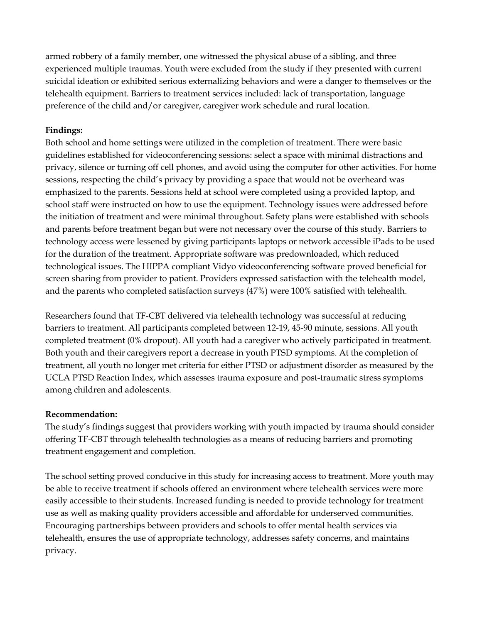armed robbery of a family member, one witnessed the physical abuse of a sibling, and three experienced multiple traumas. Youth were excluded from the study if they presented with current suicidal ideation or exhibited serious externalizing behaviors and were a danger to themselves or the telehealth equipment. Barriers to treatment services included: lack of transportation, language preference of the child and/or caregiver, caregiver work schedule and rural location.

# **Findings:**

Both school and home settings were utilized in the completion of treatment. There were basic guidelines established for videoconferencing sessions: select a space with minimal distractions and privacy, silence or turning off cell phones, and avoid using the computer for other activities. For home sessions, respecting the child's privacy by providing a space that would not be overheard was emphasized to the parents. Sessions held at school were completed using a provided laptop, and school staff were instructed on how to use the equipment. Technology issues were addressed before the initiation of treatment and were minimal throughout. Safety plans were established with schools and parents before treatment began but were not necessary over the course of this study. Barriers to technology access were lessened by giving participants laptops or network accessible iPads to be used for the duration of the treatment. Appropriate software was predownloaded, which reduced technological issues. The HIPPA compliant Vidyo videoconferencing software proved beneficial for screen sharing from provider to patient. Providers expressed satisfaction with the telehealth model, and the parents who completed satisfaction surveys (47%) were 100% satisfied with telehealth.

Researchers found that TF-CBT delivered via telehealth technology was successful at reducing barriers to treatment. All participants completed between 12-19, 45-90 minute, sessions. All youth completed treatment (0% dropout). All youth had a caregiver who actively participated in treatment. Both youth and their caregivers report a decrease in youth PTSD symptoms. At the completion of treatment, all youth no longer met criteria for either PTSD or adjustment disorder as measured by the UCLA PTSD Reaction Index, which assesses trauma exposure and post-traumatic stress symptoms among children and adolescents.

# **Recommendation:**

The study's findings suggest that providers working with youth impacted by trauma should consider offering TF-CBT through telehealth technologies as a means of reducing barriers and promoting treatment engagement and completion.

The school setting proved conducive in this study for increasing access to treatment. More youth may be able to receive treatment if schools offered an environment where telehealth services were more easily accessible to their students. Increased funding is needed to provide technology for treatment use as well as making quality providers accessible and affordable for underserved communities. Encouraging partnerships between providers and schools to offer mental health services via telehealth, ensures the use of appropriate technology, addresses safety concerns, and maintains privacy.